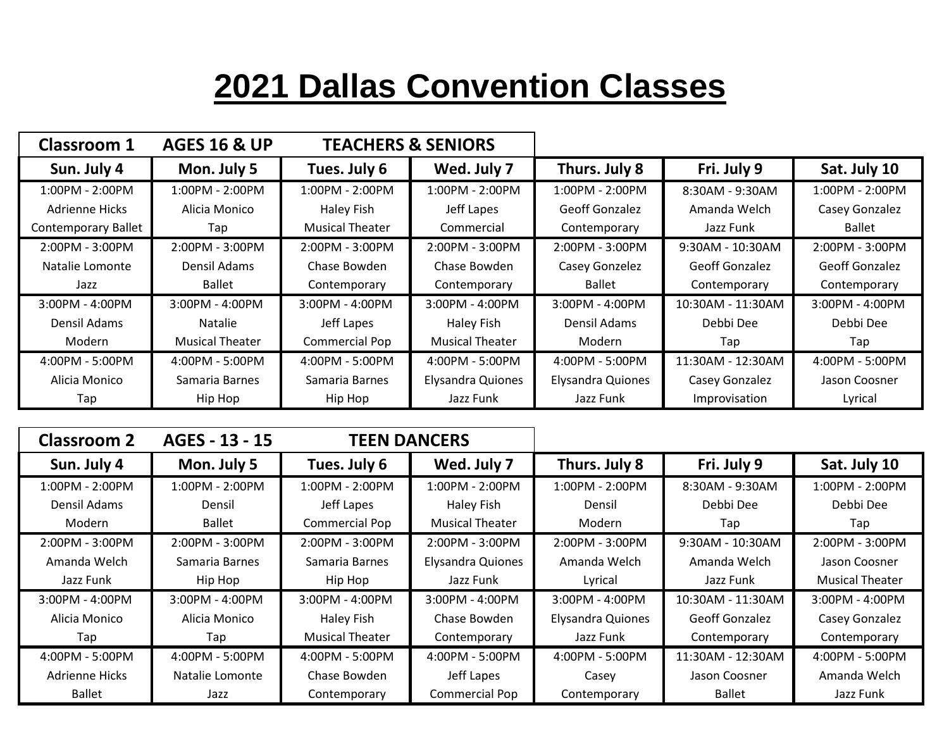## **2021 Dallas Convention Classes**

| Classroom 1                | <b>AGES 16 &amp; UP</b> | <b>TEACHERS &amp; SENIORS</b> |                          |                          |                       |                       |
|----------------------------|-------------------------|-------------------------------|--------------------------|--------------------------|-----------------------|-----------------------|
| Sun. July 4                | Mon. July 5             | Tues. July 6                  | Wed. July 7              | Thurs. July 8            | Fri. July 9           | Sat. July 10          |
| $1:00PM - 2:00PM$          | $1:00PM - 2:00PM$       | $1:00PM - 2:00PM$             | $1:00PM - 2:00PM$        | $1:00PM - 2:00PM$        | 8:30AM - 9:30AM       | $1:00PM - 2:00PM$     |
| <b>Adrienne Hicks</b>      | Alicia Monico           | Haley Fish                    | Jeff Lapes               | <b>Geoff Gonzalez</b>    | Amanda Welch          | Casey Gonzalez        |
| <b>Contemporary Ballet</b> | Tap                     | <b>Musical Theater</b>        | Commercial               | Contemporary             | Jazz Funk             | Ballet                |
| $2:00PM - 3:00PM$          | $2:00PM - 3:00PM$       | 2:00PM - 3:00PM               | $2:00PM - 3:00PM$        | 2:00PM - 3:00PM          | 9:30AM - 10:30AM      | 2:00PM - 3:00PM       |
| Natalie Lomonte            | Densil Adams            | Chase Bowden                  | Chase Bowden             | Casey Gonzelez           | <b>Geoff Gonzalez</b> | <b>Geoff Gonzalez</b> |
| Jazz                       | <b>Ballet</b>           | Contemporary                  | Contemporary             | <b>Ballet</b>            | Contemporary          | Contemporary          |
| $3:00PM - 4:00PM$          | $3:00PM - 4:00PM$       | $3:00PM - 4:00PM$             | $3:00PM - 4:00PM$        | 3:00PM - 4:00PM          | 10:30AM - 11:30AM     | $3:00PM - 4:00PM$     |
| Densil Adams               | <b>Natalie</b>          | Jeff Lapes                    | Haley Fish               | Densil Adams             | Debbi Dee             | Debbi Dee             |
| Modern                     | <b>Musical Theater</b>  | <b>Commercial Pop</b>         | <b>Musical Theater</b>   | Modern                   | Tap                   | Tap                   |
| 4:00PM - 5:00PM            | $4:00PM - 5:00PM$       | 4:00PM - 5:00PM               | $4:00PM - 5:00PM$        | $4:00PM - 5:00PM$        | 11:30AM - 12:30AM     | 4:00PM - 5:00PM       |
| Alicia Monico              | Samaria Barnes          | Samaria Barnes                | <b>Elysandra Quiones</b> | <b>Elysandra Quiones</b> | Casey Gonzalez        | Jason Coosner         |
| Tap                        | Hip Hop                 | Hip Hop                       | Jazz Funk                | Jazz Funk                | Improvisation         | Lyrical               |

| <b>Classroom 2</b> | AGES - 13 - 15    | <b>TEEN DANCERS</b>    |                          |                          |                       |                        |
|--------------------|-------------------|------------------------|--------------------------|--------------------------|-----------------------|------------------------|
| Sun. July 4        | Mon. July 5       | Tues. July 6           | Wed. July 7              | Thurs. July 8            | Fri. July 9           | Sat. July 10           |
| $1:00PM - 2:00PM$  | $1:00PM - 2:00PM$ | 1:00PM - 2:00PM        | 1:00PM - 2:00PM          | 1:00PM - 2:00PM          | 8:30AM - 9:30AM       | 1:00PM - 2:00PM        |
| Densil Adams       | Densil            | Jeff Lapes             | Haley Fish               | Densil                   | Debbi Dee             | Debbi Dee              |
| <b>Modern</b>      | <b>Ballet</b>     | Commercial Pop         | <b>Musical Theater</b>   | Modern                   | Tap                   | Tap                    |
| $2:00PM - 3:00PM$  | 2:00PM - 3:00PM   | $2:00PM - 3:00PM$      | 2:00PM - 3:00PM          | 2:00PM - 3:00PM          | $9:30AM - 10:30AM$    | $2:00PM - 3:00PM$      |
| Amanda Welch       | Samaria Barnes    | Samaria Barnes         | <b>Elysandra Quiones</b> | Amanda Welch             | Amanda Welch          | Jason Coosner          |
| Jazz Funk          | Hip Hop           | Hip Hop                | Jazz Funk                | Lyrical                  | Jazz Funk             | <b>Musical Theater</b> |
| $3:00PM - 4:00PM$  | $3:00PM - 4:00PM$ | $3:00PM - 4:00PM$      | $3:00PM - 4:00PM$        | $3:00PM - 4:00PM$        | 10:30AM - 11:30AM     | 3:00PM - 4:00PM        |
| Alicia Monico      | Alicia Monico     | Haley Fish             | Chase Bowden             | <b>Elysandra Quiones</b> | <b>Geoff Gonzalez</b> | Casey Gonzalez         |
| Tap                | Tap               | <b>Musical Theater</b> | Contemporary             | Jazz Funk                | Contemporary          | Contemporary           |
| 4:00PM - 5:00PM    | 4:00PM - 5:00PM   | 4:00PM - 5:00PM        | 4:00PM - 5:00PM          | 4:00PM - 5:00PM          | 11:30AM - 12:30AM     | 4:00PM - 5:00PM        |
| Adrienne Hicks     | Natalie Lomonte   | Chase Bowden           | Jeff Lapes               | Casey                    | Jason Coosner         | Amanda Welch           |
| <b>Ballet</b>      | Jazz              | Contemporary           | Commercial Pop           | Contemporary             | <b>Ballet</b>         | Jazz Funk              |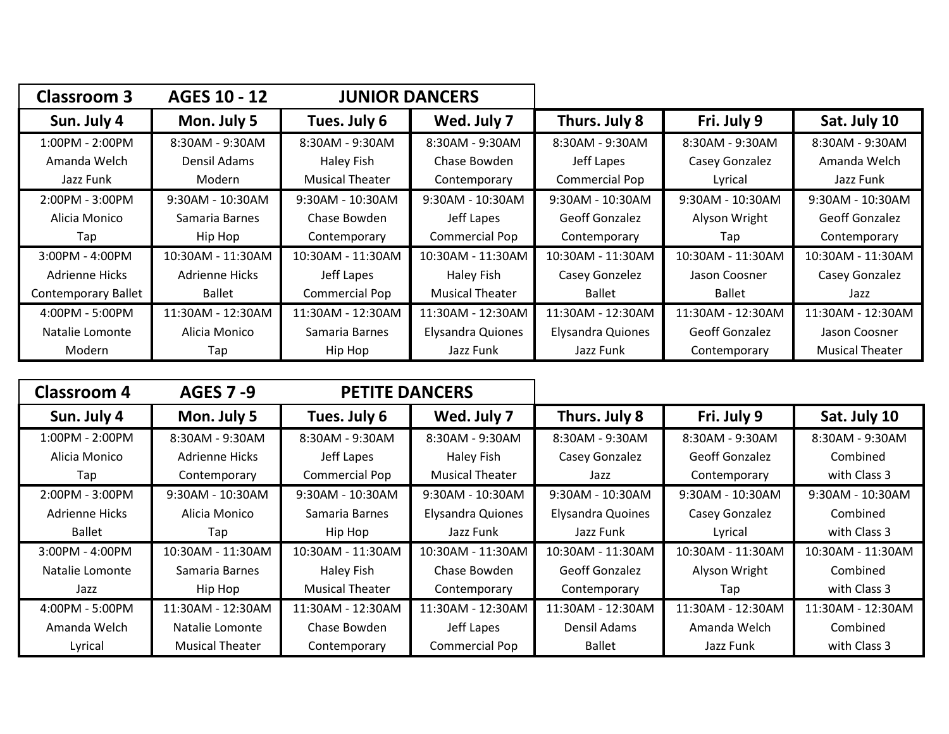| <b>Classroom 3</b>         | AGES 10 - 12       | <b>JUNIOR DANCERS</b>  |                          |                          |                       |                        |
|----------------------------|--------------------|------------------------|--------------------------|--------------------------|-----------------------|------------------------|
| Sun. July 4                | Mon. July 5        | Tues. July 6           | Wed. July 7              | Thurs. July 8            | Fri. July 9           | Sat. July 10           |
| 1:00PM - 2:00PM            | 8:30AM - 9:30AM    | 8:30AM - 9:30AM        | 8:30AM - 9:30AM          | 8:30AM - 9:30AM          | 8:30AM - 9:30AM       | 8:30AM - 9:30AM        |
| Amanda Welch               | Densil Adams       | Haley Fish             | Chase Bowden             | Jeff Lapes               | Casey Gonzalez        | Amanda Welch           |
| Jazz Funk                  | Modern             | <b>Musical Theater</b> | Contemporary             | <b>Commercial Pop</b>    | Lyrical               | Jazz Funk              |
| 2:00PM - 3:00PM            | $9:30AM - 10:30AM$ | $9:30AM - 10:30AM$     | $9:30AM - 10:30AM$       | $9:30AM - 10:30AM$       | 9:30AM - 10:30AM      | 9:30AM - 10:30AM       |
| Alicia Monico              | Samaria Barnes     | Chase Bowden           | Jeff Lapes               | <b>Geoff Gonzalez</b>    | Alyson Wright         | <b>Geoff Gonzalez</b>  |
| Tap                        | Hip Hop            | Contemporary           | Commercial Pop           | Contemporary             | Tap                   | Contemporary           |
| 3:00PM - 4:00PM            | 10:30AM - 11:30AM  | 10:30AM - 11:30AM      | 10:30AM - 11:30AM        | 10:30AM - 11:30AM        | 10:30AM - 11:30AM     | 10:30AM - 11:30AM      |
| Adrienne Hicks             | Adrienne Hicks     | Jeff Lapes             | Haley Fish               | Casey Gonzelez           | Jason Coosner         | Casey Gonzalez         |
| <b>Contemporary Ballet</b> | <b>Ballet</b>      | <b>Commercial Pop</b>  | <b>Musical Theater</b>   | <b>Ballet</b>            | <b>Ballet</b>         | Jazz                   |
| 4:00PM - 5:00PM            | 11:30AM - 12:30AM  | 11:30AM - 12:30AM      | 11:30AM - 12:30AM        | 11:30AM - 12:30AM        | 11:30AM - 12:30AM     | 11:30AM - 12:30AM      |
| Natalie Lomonte            | Alicia Monico      | Samaria Barnes         | <b>Elysandra Quiones</b> | <b>Elysandra Quiones</b> | <b>Geoff Gonzalez</b> | Jason Coosner          |
| Modern                     | Tap                | Hip Hop                | Jazz Funk                | Jazz Funk                | Contemporary          | <b>Musical Theater</b> |

| Classroom 4       | <b>AGES 7 -9</b>       | <b>PETITE DANCERS</b>  |                          |                          |                       |                   |
|-------------------|------------------------|------------------------|--------------------------|--------------------------|-----------------------|-------------------|
| Sun. July 4       | Mon. July 5            | Tues. July 6           | Wed. July 7              | Thurs. July 8            | Fri. July 9           | Sat. July 10      |
| 1:00PM - 2:00PM   | 8:30AM - 9:30AM        | 8:30AM - 9:30AM        | 8:30AM - 9:30AM          | 8:30AM - 9:30AM          | 8:30AM - 9:30AM       | 8:30AM - 9:30AM   |
| Alicia Monico     | Adrienne Hicks         | Jeff Lapes             | Haley Fish               | Casey Gonzalez           | <b>Geoff Gonzalez</b> | Combined          |
| Tap               | Contemporary           | <b>Commercial Pop</b>  | <b>Musical Theater</b>   | Jazz                     | Contemporary          | with Class 3      |
| 2:00PM - 3:00PM   | $9:30AM - 10:30AM$     | $9:30AM - 10:30AM$     | $9:30AM - 10:30AM$       | 9:30AM - 10:30AM         | $9:30AM - 10:30AM$    | 9:30AM - 10:30AM  |
| Adrienne Hicks    | Alicia Monico          | Samaria Barnes         | <b>Elysandra Quiones</b> | <b>Elysandra Quoines</b> | Casey Gonzalez        | Combined          |
| Ballet            | Tap                    | Hip Hop                | Jazz Funk                | Jazz Funk                | Lyrical               | with Class 3      |
| 3:00PM - 4:00PM   | 10:30AM - 11:30AM      | 10:30AM - 11:30AM      | 10:30AM - 11:30AM        | 10:30AM - 11:30AM        | 10:30AM - 11:30AM     | 10:30AM - 11:30AM |
| Natalie Lomonte   | Samaria Barnes         | Haley Fish             | Chase Bowden             | <b>Geoff Gonzalez</b>    | Alyson Wright         | Combined          |
| Jazz              | Hip Hop                | <b>Musical Theater</b> | Contemporary             | Contemporary             | Tap                   | with Class 3      |
| $4:00PM - 5:00PM$ | 11:30AM - 12:30AM      | 11:30AM - 12:30AM      | 11:30AM - 12:30AM        | 11:30AM - 12:30AM        | 11:30AM - 12:30AM     | 11:30AM - 12:30AM |
| Amanda Welch      | Natalie Lomonte        | Chase Bowden           | Jeff Lapes               | Densil Adams             | Amanda Welch          | Combined          |
| Lyrical           | <b>Musical Theater</b> | Contemporary           | Commercial Pop           | <b>Ballet</b>            | Jazz Funk             | with Class 3      |